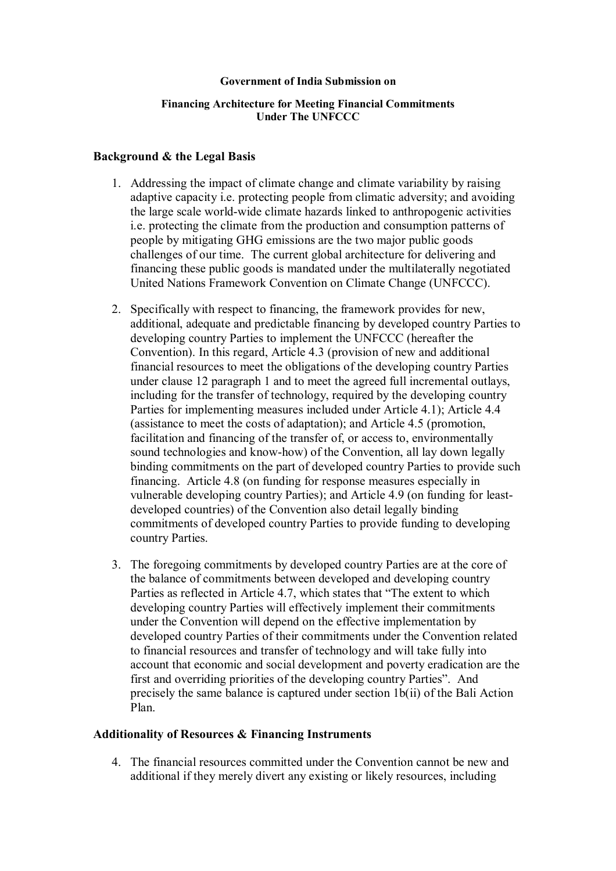#### **Government of India Submission on**

### **Financing Architecture for Meeting Financial Commitments Under The UNFCCC**

### **Background & the Legal Basis**

- 1. Addressing the impact of climate change and climate variability by raising adaptive capacity i.e. protecting people from climatic adversity; and avoiding the large scale world-wide climate hazards linked to anthropogenic activities i.e. protecting the climate from the production and consumption patterns of people by mitigating GHG emissions are the two major public goods challenges of our time. The current global architecture for delivering and financing these public goods is mandated under the multilaterally negotiated United Nations Framework Convention on Climate Change (UNFCCC).
- 2. Specifically with respect to financing, the framework provides for new, additional, adequate and predictable financing by developed country Parties to developing country Parties to implement the UNFCCC (hereafter the Convention). In this regard, Article 4.3 (provision of new and additional financial resources to meet the obligations of the developing country Parties under clause 12 paragraph 1 and to meet the agreed full incremental outlays, including for the transfer of technology, required by the developing country Parties for implementing measures included under Article 4.1); Article 4.4 (assistance to meet the costs of adaptation); and Article 4.5 (promotion, facilitation and financing of the transfer of, or access to, environmentally sound technologies and know-how) of the Convention, all lay down legally binding commitments on the part of developed country Parties to provide such financing. Article 4.8 (on funding for response measures especially in vulnerable developing country Parties); and Article 4.9 (on funding for leastdeveloped countries) of the Convention also detail legally binding commitments of developed country Parties to provide funding to developing country Parties.
- 3. The foregoing commitments by developed country Parties are at the core of the balance of commitments between developed and developing country Parties as reflected in Article 4.7, which states that "The extent to which developing country Parties will effectively implement their commitments under the Convention will depend on the effective implementation by developed country Parties of their commitments under the Convention related to financial resources and transfer of technology and will take fully into account that economic and social development and poverty eradication are the first and overriding priorities of the developing country Parties". And precisely the same balance is captured under section 1b(ii) of the Bali Action Plan.

#### **Additionality of Resources & Financing Instruments**

4. The financial resources committed under the Convention cannot be new and additional if they merely divert any existing or likely resources, including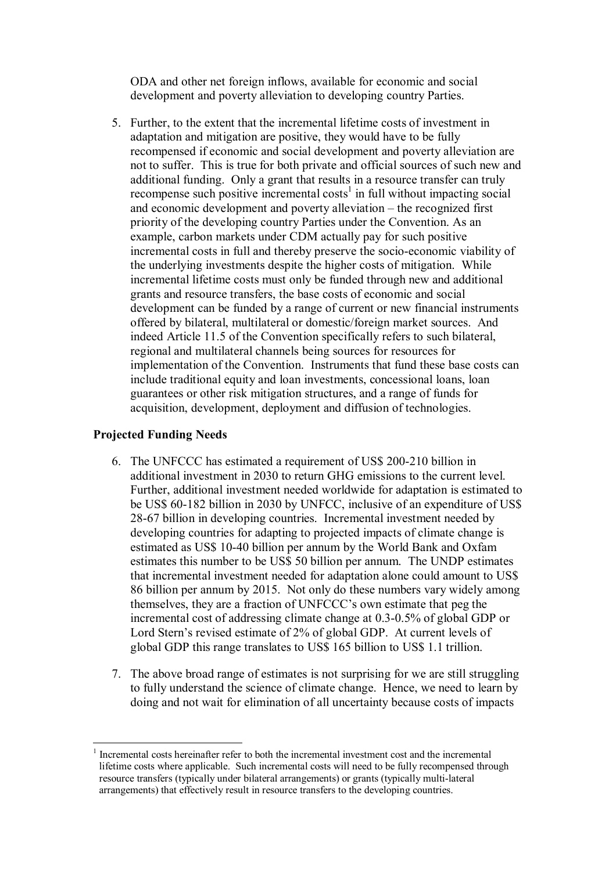ODA and other net foreign inflows, available for economic and social development and poverty alleviation to developing country Parties.

5. Further, to the extent that the incremental lifetime costs of investment in adaptation and mitigation are positive, they would have to be fully recompensed if economic and social development and poverty alleviation are not to suffer. This is true for both private and official sources of such new and additional funding. Only a grant that results in a resource transfer can truly  $r$ ecompense such positive incremental costs<sup>1</sup> in full without impacting social and economic development and poverty alleviation  $-$  the recognized first priority of the developing country Parties under the Convention. As an example, carbon markets under CDM actually pay for such positive incremental costs in full and thereby preserve the socio-economic viability of the underlying investments despite the higher costs of mitigation. While incremental lifetime costs must only be funded through new and additional grants and resource transfers, the base costs of economic and social development can be funded by a range of current or new financial instruments offered by bilateral, multilateral or domestic/foreign market sources. And indeed Article 11.5 of the Convention specifically refers to such bilateral, regional and multilateral channels being sources for resources for implementation of the Convention. Instruments that fund these base costs can include traditional equity and loan investments, concessional loans, loan guarantees or other risk mitigation structures, and a range of funds for acquisition, development, deployment and diffusion of technologies.

# **Projected Funding Needs**

 $\overline{a}$ 

- 6. The UNFCCC has estimated a requirement of US\$ 200-210 billion in additional investment in 2030 to return GHG emissions to the current level. Further, additional investment needed worldwide for adaptation is estimated to be US\$ 60-182 billion in 2030 by UNFCC, inclusive of an expenditure of US\$ 28-67 billion in developing countries. Incremental investment needed by developing countries for adapting to projected impacts of climate change is estimated as US\$ 10-40 billion per annum by the World Bank and Oxfam estimates this number to be US\$ 50 billion per annum. The UNDP estimates that incremental investment needed for adaptation alone could amount to US\$ 86 billion per annum by 2015. Not only do these numbers vary widely among themselves, they are a fraction of UNFCCC's own estimate that peg the incremental cost of addressing climate change at 0.3-0.5% of global GDP or Lord Stern's revised estimate of 2% of global GDP. At current levels of global GDP this range translates to US\$ 165 billion to US\$ 1.1 trillion.
- 7. The above broad range of estimates is not surprising for we are still struggling to fully understand the science of climate change. Hence, we need to learn by doing and not wait for elimination of all uncertainty because costs of impacts

<sup>1</sup> Incremental costs hereinafter refer to both the incremental investment cost and the incremental lifetime costs where applicable. Such incremental costs will need to be fully recompensed through resource transfers (typically under bilateral arrangements) or grants (typically multi-lateral arrangements) that effectively result in resource transfers to the developing countries.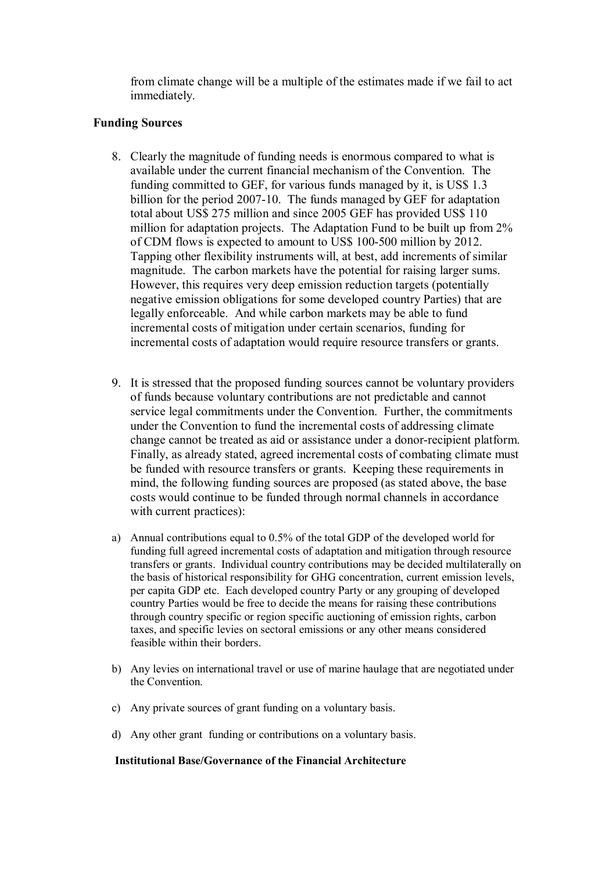from climate change will be a multiple of the estimates made if we fail to act immediately.

## **Funding Sources**

- 8. Clearly the magnitude of funding needs is enormous compared to what is available under the current financial mechanism of the Convention. The funding committed to GEF, for various funds managed by it, is US\$ 1.3 billion for the period 2007-10. The funds managed by GEF for adaptation total about US\$ 275 million and since 2005 GEF has provided US\$ 110 million for adaptation projects. The Adaptation Fund to be built up from 2% of CDM flows is expected to amount to US\$ 100-500 million by 2012. Tapping other flexibility instruments will, at best, add increments of similar magnitude. The carbon markets have the potential for raising larger sums. However, this requires very deep emission reduction targets (potentially negative emission obligations for some developed country Parties) that are legally enforceable. And while carbon markets may be able to fund incremental costs of mitigation under certain scenarios, funding for incremental costs of adaptation would require resource transfers or grants.
- 9. It is stressed that the proposed funding sources cannot be voluntary providers of funds because voluntary contributions are not predictable and cannot service legal commitments under the Convention. Further, the commitments under the Convention to fund the incremental costs of addressing climate change cannot be treated as aid or assistance under a donor-recipient platform. Finally, as already stated, agreed incremental costs of combating climate must be funded with resource transfers or grants. Keeping these requirements in mind, the following funding sources are proposed (as stated above, the base costs would continue to be funded through normal channels in accordance with current practices):
- a) Annual contributions equal to 0.5% of the total GDP of the developed world for funding full agreed incremental costs of adaptation and mitigation through resource transfers or grants. Individual country contributions may be decided multilaterally on the basis of historical responsibility for GHG concentration, current emission levels, per capita GDP etc. Each developed country Party or any grouping of developed country Parties would be free to decide the means for raising these contributions through country specific or region specific auctioning of emission rights, carbon taxes, and specific levies on sectoral emissions or any other means considered feasible within their borders.
- b) Any levies on international travel or use of marine haulage that are negotiated under the Convention.
- c) Any private sources of grant funding on a voluntary basis.
- d) Any other grant funding or contributions on a voluntary basis.

#### **Institutional Base/Governance of the Financial Architecture**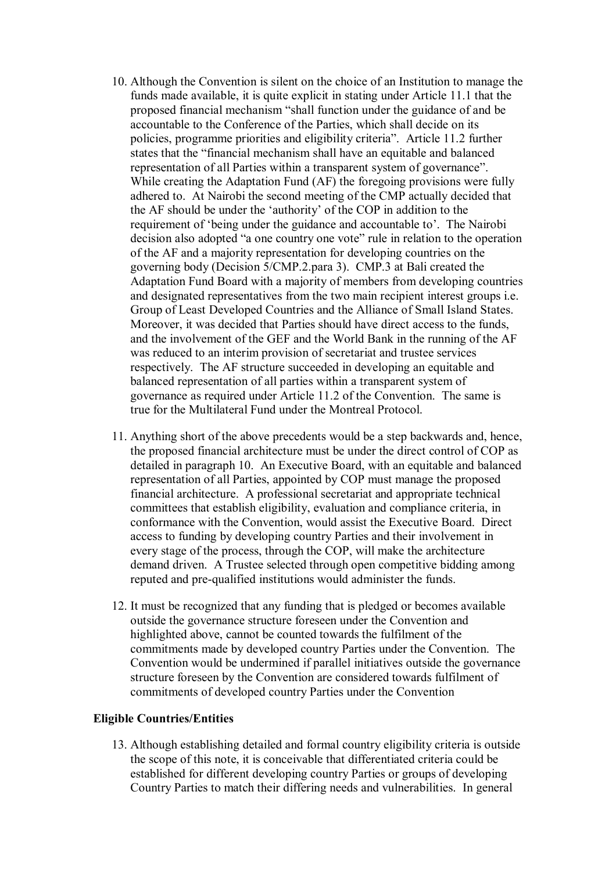- 10. Although the Convention is silent on the choice of an Institution to manage the funds made available, it is quite explicit in stating under Article 11.1 that the proposed financial mechanism "shall function under the guidance of and be accountable to the Conference of the Parties, which shall decide on its policies, programme priorities and eligibility criteriaî. Article 11.2 further states that the "financial mechanism shall have an equitable and balanced representation of all Parties within a transparent system of governance". While creating the Adaptation Fund (AF) the foregoing provisions were fully adhered to. At Nairobi the second meeting of the CMP actually decided that the AF should be under the 'authority' of the COP in addition to the requirement of 'being under the guidance and accountable to'. The Nairobi decision also adopted "a one country one vote" rule in relation to the operation of the AF and a majority representation for developing countries on the governing body (Decision 5/CMP.2.para 3). CMP.3 at Bali created the Adaptation Fund Board with a majority of members from developing countries and designated representatives from the two main recipient interest groups i.e. Group of Least Developed Countries and the Alliance of Small Island States. Moreover, it was decided that Parties should have direct access to the funds, and the involvement of the GEF and the World Bank in the running of the AF was reduced to an interim provision of secretariat and trustee services respectively. The AF structure succeeded in developing an equitable and balanced representation of all parties within a transparent system of governance as required under Article 11.2 of the Convention. The same is true for the Multilateral Fund under the Montreal Protocol.
- 11. Anything short of the above precedents would be a step backwards and, hence, the proposed financial architecture must be under the direct control of COP as detailed in paragraph 10. An Executive Board, with an equitable and balanced representation of all Parties, appointed by COP must manage the proposed financial architecture. A professional secretariat and appropriate technical committees that establish eligibility, evaluation and compliance criteria, in conformance with the Convention, would assist the Executive Board. Direct access to funding by developing country Parties and their involvement in every stage of the process, through the COP, will make the architecture demand driven. A Trustee selected through open competitive bidding among reputed and pre-qualified institutions would administer the funds.
- 12. It must be recognized that any funding that is pledged or becomes available outside the governance structure foreseen under the Convention and highlighted above, cannot be counted towards the fulfilment of the commitments made by developed country Parties under the Convention. The Convention would be undermined if parallel initiatives outside the governance structure foreseen by the Convention are considered towards fulfilment of commitments of developed country Parties under the Convention

## **Eligible Countries/Entities**

13. Although establishing detailed and formal country eligibility criteria is outside the scope of this note, it is conceivable that differentiated criteria could be established for different developing country Parties or groups of developing Country Parties to match their differing needs and vulnerabilities. In general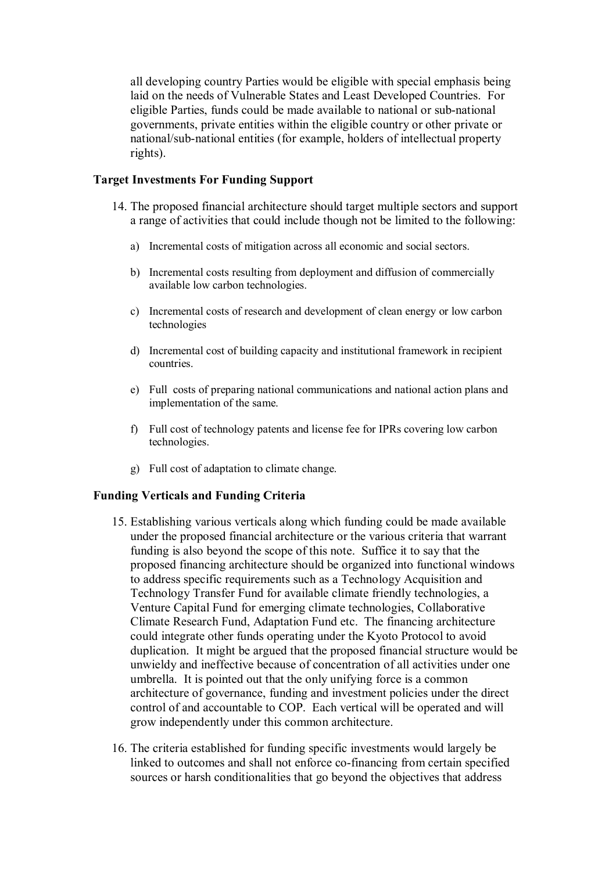all developing country Parties would be eligible with special emphasis being laid on the needs of Vulnerable States and Least Developed Countries. For eligible Parties, funds could be made available to national or sub-national governments, private entities within the eligible country or other private or national/sub-national entities (for example, holders of intellectual property rights).

## **Target Investments For Funding Support**

- 14. The proposed financial architecture should target multiple sectors and support a range of activities that could include though not be limited to the following:
	- a) Incremental costs of mitigation across all economic and social sectors.
	- b) Incremental costs resulting from deployment and diffusion of commercially available low carbon technologies.
	- c) Incremental costs of research and development of clean energy or low carbon technologies
	- d) Incremental cost of building capacity and institutional framework in recipient countries.
	- e) Full costs of preparing national communications and national action plans and implementation of the same.
	- f) Full cost of technology patents and license fee for IPRs covering low carbon technologies.
	- g) Full cost of adaptation to climate change.

# **Funding Verticals and Funding Criteria**

- 15. Establishing various verticals along which funding could be made available under the proposed financial architecture or the various criteria that warrant funding is also beyond the scope of this note. Suffice it to say that the proposed financing architecture should be organized into functional windows to address specific requirements such as a Technology Acquisition and Technology Transfer Fund for available climate friendly technologies, a Venture Capital Fund for emerging climate technologies, Collaborative Climate Research Fund, Adaptation Fund etc. The financing architecture could integrate other funds operating under the Kyoto Protocol to avoid duplication. It might be argued that the proposed financial structure would be unwieldy and ineffective because of concentration of all activities under one umbrella. It is pointed out that the only unifying force is a common architecture of governance, funding and investment policies under the direct control of and accountable to COP. Each vertical will be operated and will grow independently under this common architecture.
- 16. The criteria established for funding specific investments would largely be linked to outcomes and shall not enforce co-financing from certain specified sources or harsh conditionalities that go beyond the objectives that address